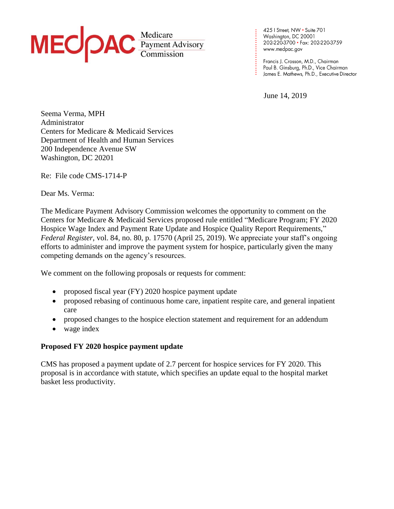

425 | Street, NW • Suite 701<br>Washington, DC 20001 202-220-3700 · Fax: 202-220-3759 www.medpac.gov

Paul B. Ginsburg, Ph.D., Vice Chairman James E. Mathews, Ph.D., Executive Director

June 14, 2019

**. . . . . . . . . . . . . . . . . . . . . . . .**

Seema Verma, MPH Administrator Centers for Medicare & Medicaid Services Department of Health and Human Services 200 Independence Avenue SW Washington, DC 20201

Re: File code CMS-1714-P

Dear Ms. Verma:

The Medicare Payment Advisory Commission welcomes the opportunity to comment on the Centers for Medicare & Medicaid Services proposed rule entitled "Medicare Program; FY 2020 Hospice Wage Index and Payment Rate Update and Hospice Quality Report Requirements," *Federal Register*, vol. 84, no. 80, p. 17570 (April 25, 2019). We appreciate your staff's ongoing efforts to administer and improve the payment system for hospice, particularly given the many competing demands on the agency's resources.

We comment on the following proposals or requests for comment:

- proposed fiscal year (FY) 2020 hospice payment update
- proposed rebasing of continuous home care, inpatient respite care, and general inpatient care
- proposed changes to the hospice election statement and requirement for an addendum
- wage index

## **Proposed FY 2020 hospice payment update**

CMS has proposed a payment update of 2.7 percent for hospice services for FY 2020. This proposal is in accordance with statute, which specifies an update equal to the hospital market basket less productivity.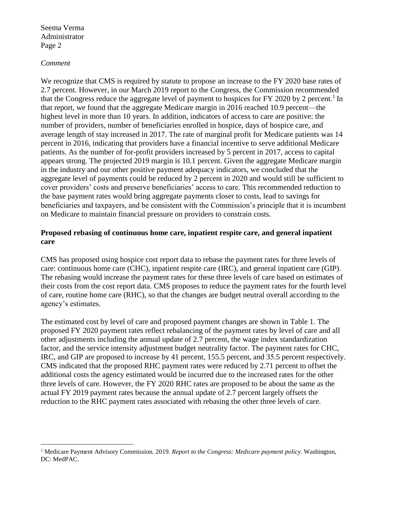#### *Comment*

We recognize that CMS is required by statute to propose an increase to the FY 2020 base rates of 2.7 percent. However, in our March 2019 report to the Congress, the Commission recommended that the Congress reduce the aggregate level of payment to hospices for FY 2020 by 2 percent.<sup>1</sup> In that report, we found that the aggregate Medicare margin in 2016 reached 10.9 percent—the highest level in more than 10 years. In addition, indicators of access to care are positive: the number of providers, number of beneficiaries enrolled in hospice, days of hospice care, and average length of stay increased in 2017. The rate of marginal profit for Medicare patients was 14 percent in 2016, indicating that providers have a financial incentive to serve additional Medicare patients. As the number of for-profit providers increased by 5 percent in 2017, access to capital appears strong. The projected 2019 margin is 10.1 percent. Given the aggregate Medicare margin in the industry and our other positive payment adequacy indicators, we concluded that the aggregate level of payments could be reduced by 2 percent in 2020 and would still be sufficient to cover providers' costs and preserve beneficiaries' access to care. This recommended reduction to the base payment rates would bring aggregate payments closer to costs, lead to savings for beneficiaries and taxpayers, and be consistent with the Commission's principle that it is incumbent on Medicare to maintain financial pressure on providers to constrain costs.

### **Proposed rebasing of continuous home care, inpatient respite care, and general inpatient care**

CMS has proposed using hospice cost report data to rebase the payment rates for three levels of care: continuous home care (CHC), inpatient respite care (IRC), and general inpatient care (GIP). The rebasing would increase the payment rates for these three levels of care based on estimates of their costs from the cost report data. CMS proposes to reduce the payment rates for the fourth level of care, routine home care (RHC), so that the changes are budget neutral overall according to the agency's estimates.

The estimated cost by level of care and proposed payment changes are shown in Table 1. The proposed FY 2020 payment rates reflect rebalancing of the payment rates by level of care and all other adjustments including the annual update of 2.7 percent, the wage index standardization factor, and the service intensity adjustment budget neutrality factor. The payment rates for CHC, IRC, and GIP are proposed to increase by 41 percent, 155.5 percent, and 35.5 percent respectively. CMS indicated that the proposed RHC payment rates were reduced by 2.71 percent to offset the additional costs the agency estimated would be incurred due to the increased rates for the other three levels of care. However, the FY 2020 RHC rates are proposed to be about the same as the actual FY 2019 payment rates because the annual update of 2.7 percent largely offsets the reduction to the RHC payment rates associated with rebasing the other three levels of care.

<sup>1</sup> Medicare Payment Advisory Commission. 2019. *Report to the Congress: Medicare payment policy*. Washington, DC: MedPAC.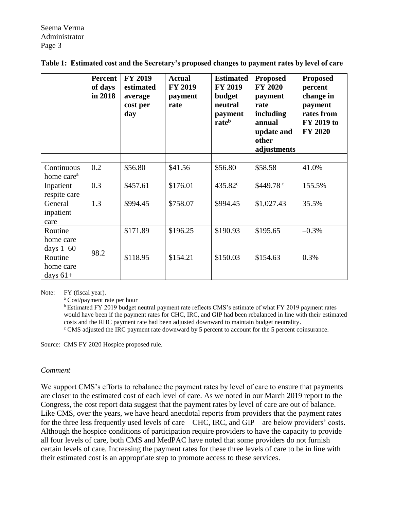|                                      | Percent<br>of days<br>in 2018 | <b>FY 2019</b><br>estimated<br>average<br>cost per<br>day | <b>Actual</b><br><b>FY 2019</b><br>payment<br>rate | <b>Estimated</b><br><b>FY 2019</b><br>budget<br>neutral<br>payment<br>rateb | <b>Proposed</b><br><b>FY 2020</b><br>payment<br>rate<br>including<br>annual<br>update and<br>other<br>adjustments | <b>Proposed</b><br>percent<br>change in<br>payment<br>rates from<br>FY 2019 to<br><b>FY 2020</b> |
|--------------------------------------|-------------------------------|-----------------------------------------------------------|----------------------------------------------------|-----------------------------------------------------------------------------|-------------------------------------------------------------------------------------------------------------------|--------------------------------------------------------------------------------------------------|
|                                      |                               |                                                           |                                                    |                                                                             |                                                                                                                   |                                                                                                  |
| Continuous<br>home care <sup>a</sup> | 0.2                           | \$56.80                                                   | \$41.56                                            | \$56.80                                                                     | \$58.58                                                                                                           | 41.0%                                                                                            |
| Inpatient<br>respite care            | 0.3                           | \$457.61                                                  | \$176.01                                           | 435.82 <sup>c</sup>                                                         | \$449.78 <sup>c</sup>                                                                                             | 155.5%                                                                                           |
| General<br>inpatient<br>care         | 1.3                           | \$994.45                                                  | \$758.07                                           | \$994.45                                                                    | \$1,027.43                                                                                                        | 35.5%                                                                                            |
| Routine<br>home care<br>days $1-60$  | 98.2                          | \$171.89                                                  | \$196.25                                           | \$190.93                                                                    | \$195.65                                                                                                          | $-0.3%$                                                                                          |
| Routine<br>home care<br>days $61+$   |                               | \$118.95                                                  | \$154.21                                           | \$150.03                                                                    | \$154.63                                                                                                          | 0.3%                                                                                             |

| Table 1: Estimated cost and the Secretary's proposed changes to payment rates by level of care |  |  |  |  |  |  |  |
|------------------------------------------------------------------------------------------------|--|--|--|--|--|--|--|
|------------------------------------------------------------------------------------------------|--|--|--|--|--|--|--|

Note: FY (fiscal year).

<sup>a</sup> Cost/payment rate per hour

<sup>b</sup> Estimated FY 2019 budget neutral payment rate reflects CMS's estimate of what FY 2019 payment rates would have been if the payment rates for CHC, IRC, and GIP had been rebalanced in line with their estimated costs and the RHC payment rate had been adjusted downward to maintain budget neutrality. <sup>c</sup> CMS adjusted the IRC payment rate downward by 5 percent to account for the 5 percent coinsurance.

Source: CMS FY 2020 Hospice proposed rule.

#### *Comment*

We support CMS's efforts to rebalance the payment rates by level of care to ensure that payments are closer to the estimated cost of each level of care. As we noted in our March 2019 report to the Congress, the cost report data suggest that the payment rates by level of care are out of balance. Like CMS, over the years, we have heard anecdotal reports from providers that the payment rates for the three less frequently used levels of care—CHC, IRC, and GIP—are below providers' costs. Although the hospice conditions of participation require providers to have the capacity to provide all four levels of care, both CMS and MedPAC have noted that some providers do not furnish certain levels of care. Increasing the payment rates for these three levels of care to be in line with their estimated cost is an appropriate step to promote access to these services.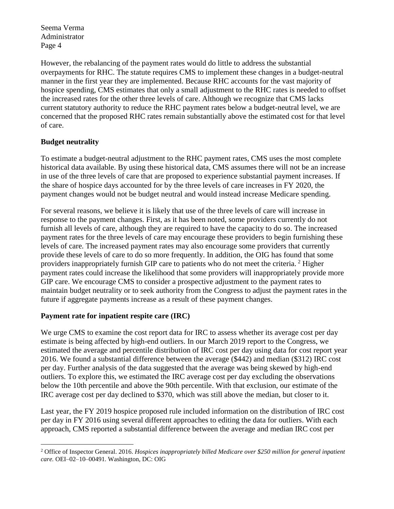However, the rebalancing of the payment rates would do little to address the substantial overpayments for RHC. The statute requires CMS to implement these changes in a budget-neutral manner in the first year they are implemented. Because RHC accounts for the vast majority of hospice spending, CMS estimates that only a small adjustment to the RHC rates is needed to offset the increased rates for the other three levels of care. Although we recognize that CMS lacks current statutory authority to reduce the RHC payment rates below a budget-neutral level, we are concerned that the proposed RHC rates remain substantially above the estimated cost for that level of care.

# **Budget neutrality**

 $\overline{a}$ 

To estimate a budget-neutral adjustment to the RHC payment rates, CMS uses the most complete historical data available. By using these historical data, CMS assumes there will not be an increase in use of the three levels of care that are proposed to experience substantial payment increases. If the share of hospice days accounted for by the three levels of care increases in FY 2020, the payment changes would not be budget neutral and would instead increase Medicare spending.

For several reasons, we believe it is likely that use of the three levels of care will increase in response to the payment changes. First, as it has been noted, some providers currently do not furnish all levels of care, although they are required to have the capacity to do so. The increased payment rates for the three levels of care may encourage these providers to begin furnishing these levels of care. The increased payment rates may also encourage some providers that currently provide these levels of care to do so more frequently. In addition, the OIG has found that some providers inappropriately furnish GIP care to patients who do not meet the criteria.<sup>2</sup> Higher payment rates could increase the likelihood that some providers will inappropriately provide more GIP care. We encourage CMS to consider a prospective adjustment to the payment rates to maintain budget neutrality or to seek authority from the Congress to adjust the payment rates in the future if aggregate payments increase as a result of these payment changes.

## **Payment rate for inpatient respite care (IRC)**

We urge CMS to examine the cost report data for IRC to assess whether its average cost per day estimate is being affected by high-end outliers. In our March 2019 report to the Congress, we estimated the average and percentile distribution of IRC cost per day using data for cost report year 2016. We found a substantial difference between the average (\$442) and median (\$312) IRC cost per day. Further analysis of the data suggested that the average was being skewed by high-end outliers. To explore this, we estimated the IRC average cost per day excluding the observations below the 10th percentile and above the 90th percentile. With that exclusion, our estimate of the IRC average cost per day declined to \$370, which was still above the median, but closer to it.

Last year, the FY 2019 hospice proposed rule included information on the distribution of IRC cost per day in FY 2016 using several different approaches to editing the data for outliers. With each approach, CMS reported a substantial difference between the average and median IRC cost per

<sup>2</sup> Office of Inspector General. 2016. *Hospices inappropriately billed Medicare over \$250 million for general inpatient care.* OEI–02–10–00491. Washington, DC: OIG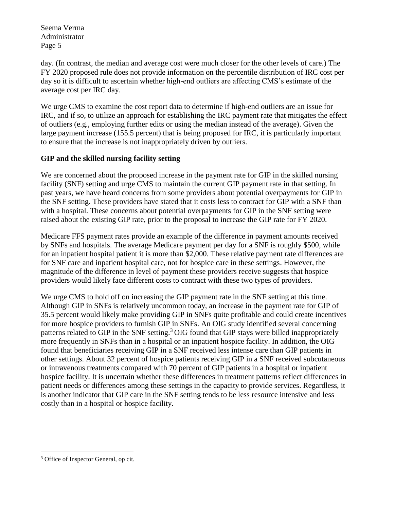day. (In contrast, the median and average cost were much closer for the other levels of care.) The FY 2020 proposed rule does not provide information on the percentile distribution of IRC cost per day so it is difficult to ascertain whether high-end outliers are affecting CMS's estimate of the average cost per IRC day.

We urge CMS to examine the cost report data to determine if high-end outliers are an issue for IRC, and if so, to utilize an approach for establishing the IRC payment rate that mitigates the effect of outliers (e.g., employing further edits or using the median instead of the average). Given the large payment increase (155.5 percent) that is being proposed for IRC, it is particularly important to ensure that the increase is not inappropriately driven by outliers.

# **GIP and the skilled nursing facility setting**

We are concerned about the proposed increase in the payment rate for GIP in the skilled nursing facility (SNF) setting and urge CMS to maintain the current GIP payment rate in that setting. In past years, we have heard concerns from some providers about potential overpayments for GIP in the SNF setting. These providers have stated that it costs less to contract for GIP with a SNF than with a hospital. These concerns about potential overpayments for GIP in the SNF setting were raised about the existing GIP rate, prior to the proposal to increase the GIP rate for FY 2020.

Medicare FFS payment rates provide an example of the difference in payment amounts received by SNFs and hospitals. The average Medicare payment per day for a SNF is roughly \$500, while for an inpatient hospital patient it is more than \$2,000. These relative payment rate differences are for SNF care and inpatient hospital care, not for hospice care in these settings. However, the magnitude of the difference in level of payment these providers receive suggests that hospice providers would likely face different costs to contract with these two types of providers.

We urge CMS to hold off on increasing the GIP payment rate in the SNF setting at this time. Although GIP in SNFs is relatively uncommon today, an increase in the payment rate for GIP of 35.5 percent would likely make providing GIP in SNFs quite profitable and could create incentives for more hospice providers to furnish GIP in SNFs. An OIG study identified several concerning patterns related to GIP in the SNF setting.<sup>3</sup> OIG found that GIP stays were billed inappropriately more frequently in SNFs than in a hospital or an inpatient hospice facility. In addition, the OIG found that beneficiaries receiving GIP in a SNF received less intense care than GIP patients in other settings. About 32 percent of hospice patients receiving GIP in a SNF received subcutaneous or intravenous treatments compared with 70 percent of GIP patients in a hospital or inpatient hospice facility. It is uncertain whether these differences in treatment patterns reflect differences in patient needs or differences among these settings in the capacity to provide services. Regardless, it is another indicator that GIP care in the SNF setting tends to be less resource intensive and less costly than in a hospital or hospice facility.

 $\overline{a}$ 

<sup>3</sup> Office of Inspector General, op cit.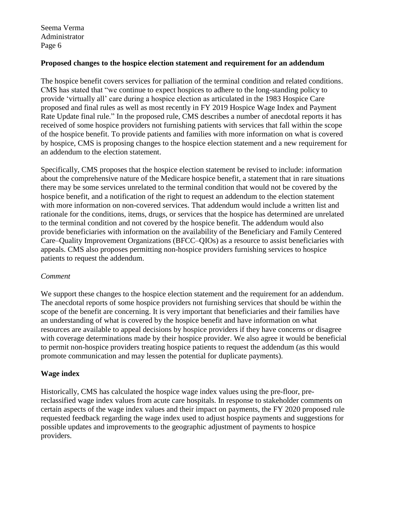### **Proposed changes to the hospice election statement and requirement for an addendum**

The hospice benefit covers services for palliation of the terminal condition and related conditions. CMS has stated that "we continue to expect hospices to adhere to the long-standing policy to provide 'virtually all' care during a hospice election as articulated in the 1983 Hospice Care proposed and final rules as well as most recently in FY 2019 Hospice Wage Index and Payment Rate Update final rule." In the proposed rule, CMS describes a number of anecdotal reports it has received of some hospice providers not furnishing patients with services that fall within the scope of the hospice benefit. To provide patients and families with more information on what is covered by hospice, CMS is proposing changes to the hospice election statement and a new requirement for an addendum to the election statement.

Specifically, CMS proposes that the hospice election statement be revised to include: information about the comprehensive nature of the Medicare hospice benefit, a statement that in rare situations there may be some services unrelated to the terminal condition that would not be covered by the hospice benefit, and a notification of the right to request an addendum to the election statement with more information on non-covered services. That addendum would include a written list and rationale for the conditions, items, drugs, or services that the hospice has determined are unrelated to the terminal condition and not covered by the hospice benefit. The addendum would also provide beneficiaries with information on the availability of the Beneficiary and Family Centered Care–Quality Improvement Organizations (BFCC–QIOs) as a resource to assist beneficiaries with appeals. CMS also proposes permitting non-hospice providers furnishing services to hospice patients to request the addendum.

#### *Comment*

We support these changes to the hospice election statement and the requirement for an addendum. The anecdotal reports of some hospice providers not furnishing services that should be within the scope of the benefit are concerning. It is very important that beneficiaries and their families have an understanding of what is covered by the hospice benefit and have information on what resources are available to appeal decisions by hospice providers if they have concerns or disagree with coverage determinations made by their hospice provider. We also agree it would be beneficial to permit non-hospice providers treating hospice patients to request the addendum (as this would promote communication and may lessen the potential for duplicate payments).

## **Wage index**

Historically, CMS has calculated the hospice wage index values using the pre-floor, prereclassified wage index values from acute care hospitals. In response to stakeholder comments on certain aspects of the wage index values and their impact on payments, the FY 2020 proposed rule requested feedback regarding the wage index used to adjust hospice payments and suggestions for possible updates and improvements to the geographic adjustment of payments to hospice providers.